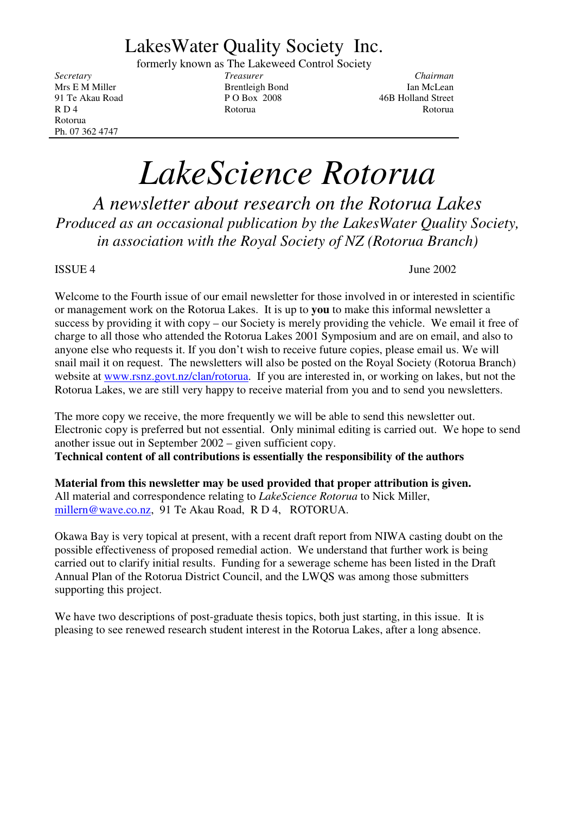## LakesWater Quality Society Inc.

formerly known as The Lakeweed Control Society

Rotorua Ph. 07 362 4747

*Secretary Treasurer Chairman* Mrs E M Miller **Ian Stephendiele** Bond Ian McLean 91 Te Akau Road P O Box 2008 46B Holland Street R D 4 Rotorua Rotorua Rotorua Rotorua Rotorua Rotorua Rotorua Rotorua Rotorua Rotorua Rotorua Rotorua Rotorua

# *LakeScience Rotorua*

*A newsletter about research on the Rotorua Lakes Produced as an occasional publication by the LakesWater Quality Society, in association with the Royal Society of NZ (Rotorua Branch)*

#### $ISSUE 4$  June 2002

Welcome to the Fourth issue of our email newsletter for those involved in or interested in scientific or management work on the Rotorua Lakes. It is up to **you** to make this informal newsletter a success by providing it with copy – our Society is merely providing the vehicle. We email it free of charge to all those who attended the Rotorua Lakes 2001 Symposium and are on email, and also to anyone else who requests it. If you don't wish to receive future copies, please email us. We will snail mail it on request. The newsletters will also be posted on the Royal Society (Rotorua Branch) website at www.rsnz.govt.nz/clan/rotorua. If you are interested in, or working on lakes, but not the Rotorua Lakes, we are still very happy to receive material from you and to send you newsletters.

The more copy we receive, the more frequently we will be able to send this newsletter out. Electronic copy is preferred but not essential. Only minimal editing is carried out. We hope to send another issue out in September 2002 – given sufficient copy. **Technical content of all contributions is essentially the responsibility of the authors**

**Material from this newsletter may be used provided that proper attribution is given.** All material and correspondence relating to *LakeScience Rotorua* to Nick Miller, millern@wave.co.nz, 91 Te Akau Road, R D 4, ROTORUA.

Okawa Bay is very topical at present, with a recent draft report from NIWA casting doubt on the possible effectiveness of proposed remedial action. We understand that further work is being carried out to clarify initial results. Funding for a sewerage scheme has been listed in the Draft Annual Plan of the Rotorua District Council, and the LWQS was among those submitters supporting this project.

We have two descriptions of post-graduate thesis topics, both just starting, in this issue. It is pleasing to see renewed research student interest in the Rotorua Lakes, after a long absence.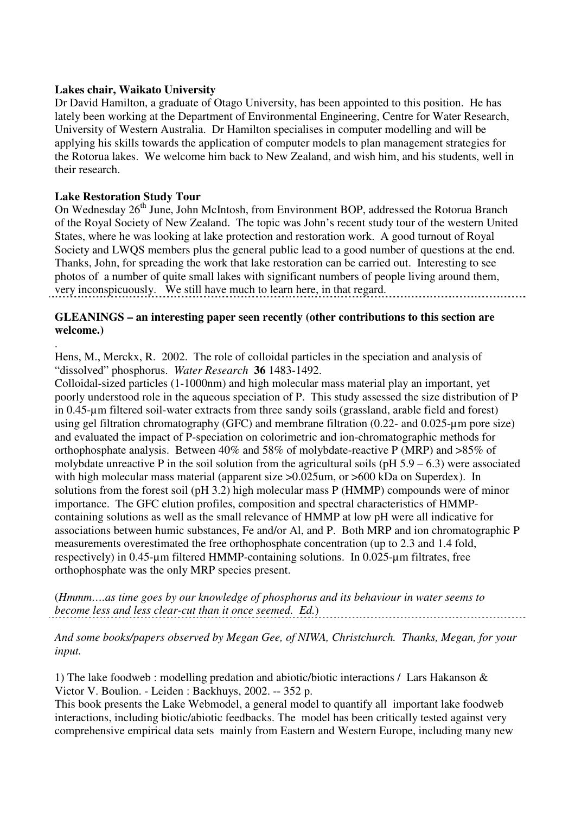#### **Lakes chair, Waikato University**

Dr David Hamilton, a graduate of Otago University, has been appointed to this position. He has lately been working at the Department of Environmental Engineering, Centre for Water Research, University of Western Australia. Dr Hamilton specialises in computer modelling and will be applying his skills towards the application of computer models to plan management strategies for the Rotorua lakes. We welcome him back to New Zealand, and wish him, and his students, well in their research.

#### **Lake Restoration Study Tour**

.

On Wednesday 26<sup>th</sup> June, John McIntosh, from Environment BOP, addressed the Rotorua Branch of the Royal Society of New Zealand. The topic was John's recent study tour of the western United States, where he was looking at lake protection and restoration work. A good turnout of Royal Society and LWQS members plus the general public lead to a good number of questions at the end. Thanks, John, for spreading the work that lake restoration can be carried out. Interesting to see photos of a number of quite small lakes with significant numbers of people living around them, very inconspicuously. We still have much to learn here, in that regard.

#### **GLEANINGS – an interesting paper seen recently (other contributions to this section are welcome.)**

Hens, M., Merckx, R. 2002. The role of colloidal particles in the speciation and analysis of "dissolved" phosphorus. *Water Research* **36** 1483-1492.

Colloidal-sized particles (1-1000nm) and high molecular mass material play an important, yet poorly understood role in the aqueous speciation of P. This study assessed the size distribution of P in 0.45-µm filtered soil-water extracts from three sandy soils (grassland, arable field and forest) using gel filtration chromatography (GFC) and membrane filtration (0.22- and 0.025-µm pore size) and evaluated the impact of P-speciation on colorimetric and ion-chromatographic methods for orthophosphate analysis. Between 40% and 58% of molybdate-reactive P (MRP) and >85% of molybdate unreactive P in the soil solution from the agricultural soils  $(pH 5.9 - 6.3)$  were associated with high molecular mass material (apparent size  $>0.025$ um, or  $>600$  kDa on Superdex). In solutions from the forest soil (pH 3.2) high molecular mass P (HMMP) compounds were of minor importance. The GFC elution profiles, composition and spectral characteristics of HMMPcontaining solutions as well as the small relevance of HMMP at low pH were all indicative for associations between humic substances, Fe and/or Al, and P. Both MRP and ion chromatographic P measurements overestimated the free orthophosphate concentration (up to 2.3 and 1.4 fold, respectively) in 0.45-µm filtered HMMP-containing solutions. In 0.025-µm filtrates, free orthophosphate was the only MRP species present.

(*Hmmm….as time goes by our knowledge of phosphorus and its behaviour in water seems to become less and less clear-cut than it once seemed. Ed.*)

*And some books/papers observed by Megan Gee, of NIWA, Christchurch. Thanks, Megan, for your input.*

1) The lake foodweb : modelling predation and abiotic/biotic interactions / Lars Hakanson & Victor V. Boulion. - Leiden : Backhuys, 2002. -- 352 p.

This book presents the Lake Webmodel, a general model to quantify all important lake foodweb interactions, including biotic/abiotic feedbacks. The model has been critically tested against very comprehensive empirical data sets mainly from Eastern and Western Europe, including many new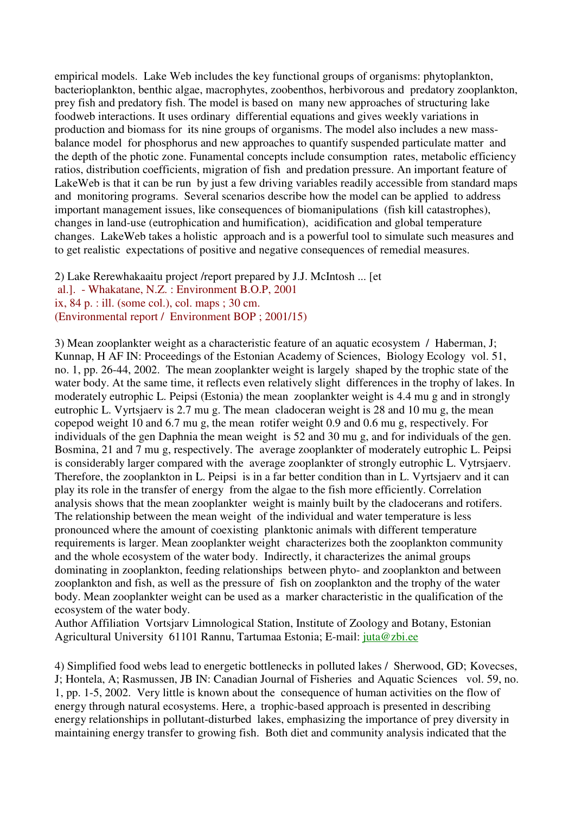empirical models. Lake Web includes the key functional groups of organisms: phytoplankton, bacterioplankton, benthic algae, macrophytes, zoobenthos, herbivorous and predatory zooplankton, prey fish and predatory fish. The model is based on many new approaches of structuring lake foodweb interactions. It uses ordinary differential equations and gives weekly variations in production and biomass for its nine groups of organisms. The model also includes a new massbalance model for phosphorus and new approaches to quantify suspended particulate matter and the depth of the photic zone. Funamental concepts include consumption rates, metabolic efficiency ratios, distribution coefficients, migration of fish and predation pressure. An important feature of LakeWeb is that it can be run by just a few driving variables readily accessible from standard maps and monitoring programs. Several scenarios describe how the model can be applied to address important management issues, like consequences of biomanipulations (fish kill catastrophes), changes in land-use (eutrophication and humification), acidification and global temperature changes. LakeWeb takes a holistic approach and is a powerful tool to simulate such measures and to get realistic expectations of positive and negative consequences of remedial measures.

2) Lake Rerewhakaaitu project /report prepared by J.J. McIntosh ... [et al.]. - Whakatane, N.Z. : Environment B.O.P, 2001

ix, 84 p. : ill. (some col.), col. maps ; 30 cm.

(Environmental report / Environment BOP ; 2001/15)

3) Mean zooplankter weight as a characteristic feature of an aquatic ecosystem / Haberman, J; Kunnap, H AF IN: Proceedings of the Estonian Academy of Sciences, Biology Ecology vol. 51, no. 1, pp. 26-44, 2002. The mean zooplankter weight is largely shaped by the trophic state of the water body. At the same time, it reflects even relatively slight differences in the trophy of lakes. In moderately eutrophic L. Peipsi (Estonia) the mean zooplankter weight is 4.4 mu g and in strongly eutrophic L. Vyrtsjaerv is 2.7 mu g. The mean cladoceran weight is 28 and 10 mu g, the mean copepod weight 10 and 6.7 mu g, the mean rotifer weight 0.9 and 0.6 mu g, respectively. For individuals of the gen Daphnia the mean weight is 52 and 30 mu g, and for individuals of the gen. Bosmina, 21 and 7 mu g, respectively. The average zooplankter of moderately eutrophic L. Peipsi is considerably larger compared with the average zooplankter of strongly eutrophic L. Vytrsjaerv. Therefore, the zooplankton in L. Peipsi is in a far better condition than in L. Vyrtsjaerv and it can play its role in the transfer of energy from the algae to the fish more efficiently. Correlation analysis shows that the mean zooplankter weight is mainly built by the cladocerans and rotifers. The relationship between the mean weight of the individual and water temperature is less pronounced where the amount of coexisting planktonic animals with different temperature requirements is larger. Mean zooplankter weight characterizes both the zooplankton community and the whole ecosystem of the water body. Indirectly, it characterizes the animal groups dominating in zooplankton, feeding relationships between phyto- and zooplankton and between zooplankton and fish, as well as the pressure of fish on zooplankton and the trophy of the water body. Mean zooplankter weight can be used as a marker characteristic in the qualification of the ecosystem of the water body.

Author Affiliation Vortsjarv Limnological Station, Institute of Zoology and Botany, Estonian Agricultural University 61101 Rannu, Tartumaa Estonia; E-mail: juta@zbi.ee

4) Simplified food webs lead to energetic bottlenecks in polluted lakes / Sherwood, GD; Kovecses, J; Hontela, A; Rasmussen, JB IN: Canadian Journal of Fisheries and Aquatic Sciences vol. 59, no. 1, pp. 1-5, 2002. Very little is known about the consequence of human activities on the flow of energy through natural ecosystems. Here, a trophic-based approach is presented in describing energy relationships in pollutant-disturbed lakes, emphasizing the importance of prey diversity in maintaining energy transfer to growing fish. Both diet and community analysis indicated that the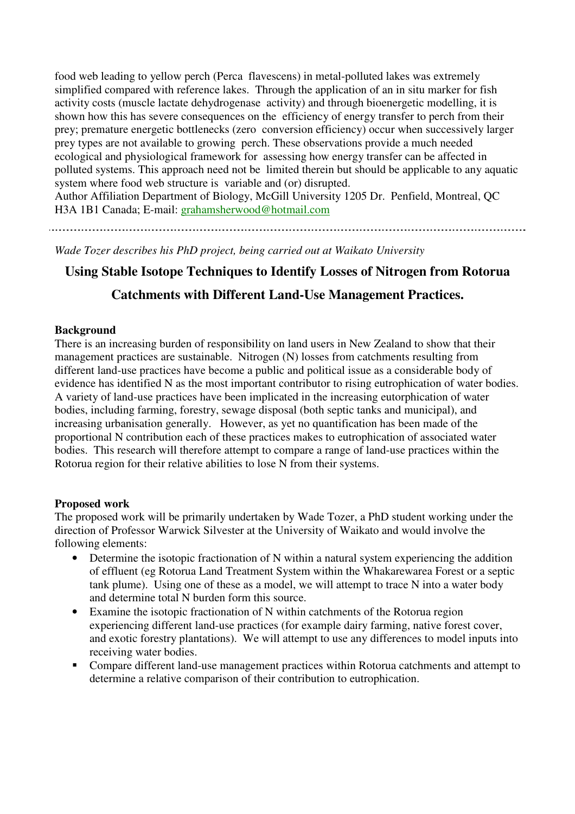food web leading to yellow perch (Perca flavescens) in metal-polluted lakes was extremely simplified compared with reference lakes. Through the application of an in situ marker for fish activity costs (muscle lactate dehydrogenase activity) and through bioenergetic modelling, it is shown how this has severe consequences on the efficiency of energy transfer to perch from their prey; premature energetic bottlenecks (zero conversion efficiency) occur when successively larger prey types are not available to growing perch. These observations provide a much needed ecological and physiological framework for assessing how energy transfer can be affected in polluted systems. This approach need not be limited therein but should be applicable to any aquatic system where food web structure is variable and (or) disrupted.

Author Affiliation Department of Biology, McGill University 1205 Dr. Penfield, Montreal, QC H3A 1B1 Canada; E-mail: grahamsherwood@hotmail.com

*Wade Tozer describes his PhD project, being carried out at Waikato University*

#### **Using Stable Isotope Techniques to Identify Losses of Nitrogen from Rotorua**

#### **Catchments with Different Land-Use Management Practices.**

#### **Background**

There is an increasing burden of responsibility on land users in New Zealand to show that their management practices are sustainable. Nitrogen (N) losses from catchments resulting from different land-use practices have become a public and political issue as a considerable body of evidence has identified N as the most important contributor to rising eutrophication of water bodies. A variety of land-use practices have been implicated in the increasing eutorphication of water bodies, including farming, forestry, sewage disposal (both septic tanks and municipal), and increasing urbanisation generally. However, as yet no quantification has been made of the proportional N contribution each of these practices makes to eutrophication of associated water bodies. This research will therefore attempt to compare a range of land-use practices within the Rotorua region for their relative abilities to lose N from their systems.

#### **Proposed work**

The proposed work will be primarily undertaken by Wade Tozer, a PhD student working under the direction of Professor Warwick Silvester at the University of Waikato and would involve the following elements:

- Determine the isotopic fractionation of N within a natural system experiencing the addition of effluent (eg Rotorua Land Treatment System within the Whakarewarea Forest or a septic tank plume). Using one of these as a model, we will attempt to trace N into a water body and determine total N burden form this source.
- Examine the isotopic fractionation of N within catchments of the Rotorua region experiencing different land-use practices (for example dairy farming, native forest cover, and exotic forestry plantations). We will attempt to use any differences to model inputs into receiving water bodies.
- Compare different land-use management practices within Rotorua catchments and attempt to determine a relative comparison of their contribution to eutrophication.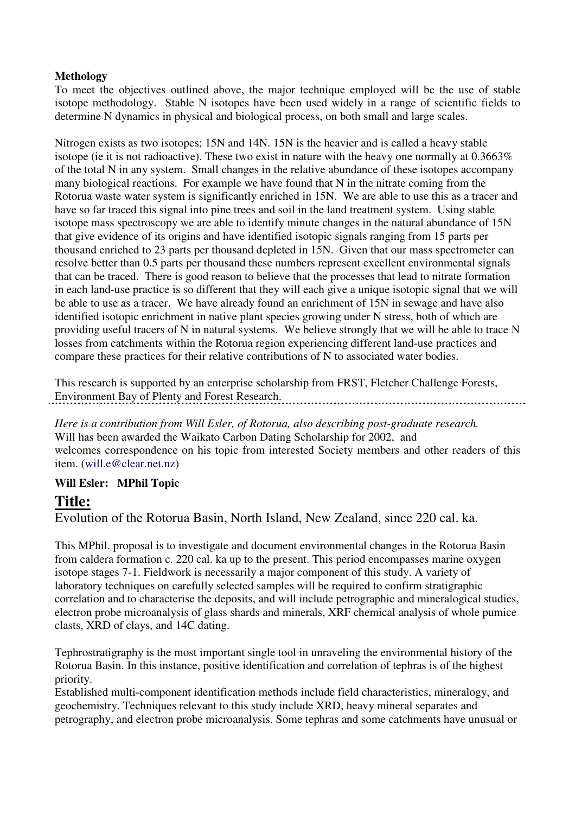#### **Methology**

To meet the objectives outlined above, the major technique employed will be the use of stable isotope methodology. Stable N isotopes have been used widely in a range of scientific fields to determine N dynamics in physical and biological process, on both small and large scales.

Nitrogen exists as two isotopes; 15N and 14N. 15N is the heavier and is called a heavy stable isotope (ie it is not radioactive). These two exist in nature with the heavy one normally at 0.3663% of the total N in any system. Small changes in the relative abundance of these isotopes accompany many biological reactions. For example we have found that N in the nitrate coming from the Rotorua waste water system is significantly enriched in 15N. We are able to use this as a tracer and have so far traced this signal into pine trees and soil in the land treatment system. Using stable isotope mass spectroscopy we are able to identify minute changes in the natural abundance of 15N that give evidence of its origins and have identified isotopic signals ranging from 15 parts per thousand enriched to 23 parts per thousand depleted in 15N. Given that our mass spectrometer can resolve better than 0.5 parts per thousand these numbers represent excellent environmental signals that can be traced. There is good reason to believe that the processes that lead to nitrate formation in each land-use practice is so different that they will each give a unique isotopic signal that we will be able to use as a tracer. We have already found an enrichment of 15N in sewage and have also identified isotopic enrichment in native plant species growing under N stress, both of which are providing useful tracers of N in natural systems. We believe strongly that we will be able to trace N losses from catchments within the Rotorua region experiencing different land-use practices and compare these practices for their relative contributions of N to associated water bodies.

This research is supported by an enterprise scholarship from FRST, Fletcher Challenge Forests, Environment Bay of Plenty and Forest Research. 

*Here is a contribution from Will Esler, of Rotorua, also describing post-graduate research.* Will has been awarded the Waikato Carbon Dating Scholarship for 2002, and welcomes correspondence on his topic from interested Society members and other readers of this item. (will.e@clear.net.nz)

#### **Will Esler: MPhil Topic**

#### **Title:**

Evolution of the Rotorua Basin, North Island, New Zealand, since 220 cal. ka.

This MPhil. proposal is to investigate and document environmental changes in the Rotorua Basin from caldera formation c. 220 cal. ka up to the present. This period encompasses marine oxygen isotope stages 7-1. Fieldwork is necessarily a major component of this study. A variety of laboratory techniques on carefully selected samples will be required to confirm stratigraphic correlation and to characterise the deposits, and will include petrographic and mineralogical studies, electron probe microanalysis of glass shards and minerals, XRF chemical analysis of whole pumice clasts, XRD of clays, and 14C dating.

Tephrostratigraphy is the most important single tool in unraveling the environmental history of the Rotorua Basin. In this instance, positive identification and correlation of tephras is of the highest priority.

Established multi-component identification methods include field characteristics, mineralogy, and geochemistry. Techniques relevant to this study include XRD, heavy mineral separates and petrography, and electron probe microanalysis. Some tephras and some catchments have unusual or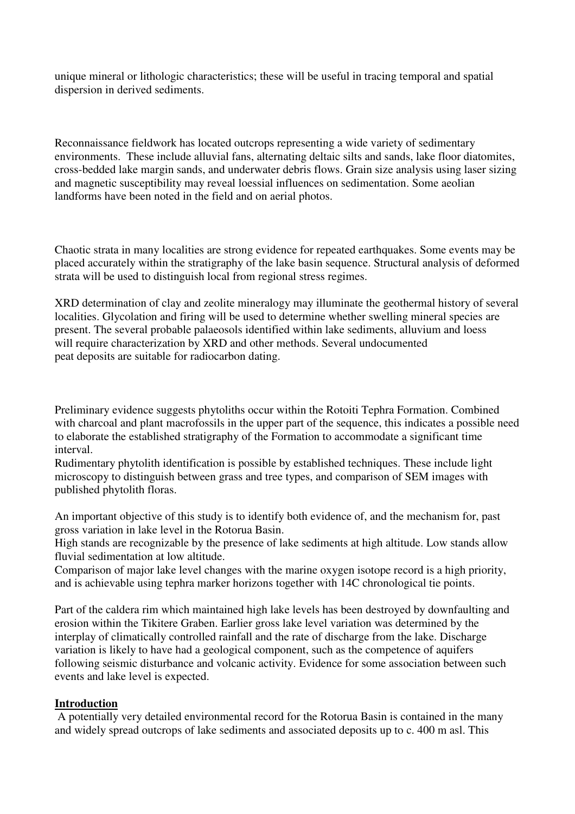unique mineral or lithologic characteristics; these will be useful in tracing temporal and spatial dispersion in derived sediments.

Reconnaissance fieldwork has located outcrops representing a wide variety of sedimentary environments. These include alluvial fans, alternating deltaic silts and sands, lake floor diatomites, cross-bedded lake margin sands, and underwater debris flows. Grain size analysis using laser sizing and magnetic susceptibility may reveal loessial influences on sedimentation. Some aeolian landforms have been noted in the field and on aerial photos.

Chaotic strata in many localities are strong evidence for repeated earthquakes. Some events may be placed accurately within the stratigraphy of the lake basin sequence. Structural analysis of deformed strata will be used to distinguish local from regional stress regimes.

XRD determination of clay and zeolite mineralogy may illuminate the geothermal history of several localities. Glycolation and firing will be used to determine whether swelling mineral species are present. The several probable palaeosols identified within lake sediments, alluvium and loess will require characterization by XRD and other methods. Several undocumented peat deposits are suitable for radiocarbon dating.

Preliminary evidence suggests phytoliths occur within the Rotoiti Tephra Formation. Combined with charcoal and plant macrofossils in the upper part of the sequence, this indicates a possible need to elaborate the established stratigraphy of the Formation to accommodate a significant time interval.

Rudimentary phytolith identification is possible by established techniques. These include light microscopy to distinguish between grass and tree types, and comparison of SEM images with published phytolith floras.

An important objective of this study is to identify both evidence of, and the mechanism for, past gross variation in lake level in the Rotorua Basin.

High stands are recognizable by the presence of lake sediments at high altitude. Low stands allow fluvial sedimentation at low altitude.

Comparison of major lake level changes with the marine oxygen isotope record is a high priority, and is achievable using tephra marker horizons together with 14C chronological tie points.

Part of the caldera rim which maintained high lake levels has been destroyed by downfaulting and erosion within the Tikitere Graben. Earlier gross lake level variation was determined by the interplay of climatically controlled rainfall and the rate of discharge from the lake. Discharge variation is likely to have had a geological component, such as the competence of aquifers following seismic disturbance and volcanic activity. Evidence for some association between such events and lake level is expected.

#### **Introduction**

A potentially very detailed environmental record for the Rotorua Basin is contained in the many and widely spread outcrops of lake sediments and associated deposits up to c. 400 m asl. This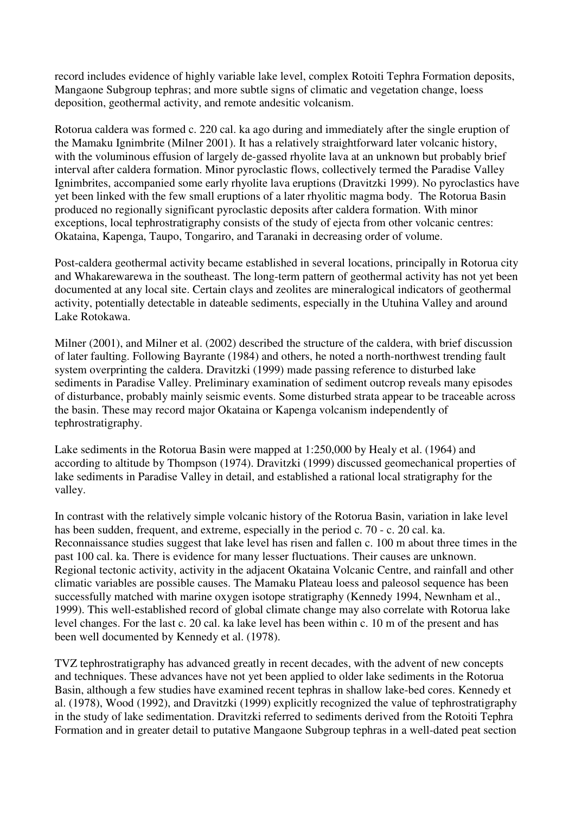record includes evidence of highly variable lake level, complex Rotoiti Tephra Formation deposits, Mangaone Subgroup tephras; and more subtle signs of climatic and vegetation change, loess deposition, geothermal activity, and remote andesitic volcanism.

Rotorua caldera was formed c. 220 cal. ka ago during and immediately after the single eruption of the Mamaku Ignimbrite (Milner 2001). It has a relatively straightforward later volcanic history, with the voluminous effusion of largely de-gassed rhyolite lava at an unknown but probably brief interval after caldera formation. Minor pyroclastic flows, collectively termed the Paradise Valley Ignimbrites, accompanied some early rhyolite lava eruptions (Dravitzki 1999). No pyroclastics have yet been linked with the few small eruptions of a later rhyolitic magma body. The Rotorua Basin produced no regionally significant pyroclastic deposits after caldera formation. With minor exceptions, local tephrostratigraphy consists of the study of ejecta from other volcanic centres: Okataina, Kapenga, Taupo, Tongariro, and Taranaki in decreasing order of volume.

Post-caldera geothermal activity became established in several locations, principally in Rotorua city and Whakarewarewa in the southeast. The long-term pattern of geothermal activity has not yet been documented at any local site. Certain clays and zeolites are mineralogical indicators of geothermal activity, potentially detectable in dateable sediments, especially in the Utuhina Valley and around Lake Rotokawa.

Milner (2001), and Milner et al. (2002) described the structure of the caldera, with brief discussion of later faulting. Following Bayrante (1984) and others, he noted a north-northwest trending fault system overprinting the caldera. Dravitzki (1999) made passing reference to disturbed lake sediments in Paradise Valley. Preliminary examination of sediment outcrop reveals many episodes of disturbance, probably mainly seismic events. Some disturbed strata appear to be traceable across the basin. These may record major Okataina or Kapenga volcanism independently of tephrostratigraphy.

Lake sediments in the Rotorua Basin were mapped at 1:250,000 by Healy et al. (1964) and according to altitude by Thompson (1974). Dravitzki (1999) discussed geomechanical properties of lake sediments in Paradise Valley in detail, and established a rational local stratigraphy for the valley.

In contrast with the relatively simple volcanic history of the Rotorua Basin, variation in lake level has been sudden, frequent, and extreme, especially in the period c. 70 - c. 20 cal. ka. Reconnaissance studies suggest that lake level has risen and fallen c. 100 m about three times in the past 100 cal. ka. There is evidence for many lesser fluctuations. Their causes are unknown. Regional tectonic activity, activity in the adjacent Okataina Volcanic Centre, and rainfall and other climatic variables are possible causes. The Mamaku Plateau loess and paleosol sequence has been successfully matched with marine oxygen isotope stratigraphy (Kennedy 1994, Newnham et al., 1999). This well-established record of global climate change may also correlate with Rotorua lake level changes. For the last c. 20 cal. ka lake level has been within c. 10 m of the present and has been well documented by Kennedy et al. (1978).

TVZ tephrostratigraphy has advanced greatly in recent decades, with the advent of new concepts and techniques. These advances have not yet been applied to older lake sediments in the Rotorua Basin, although a few studies have examined recent tephras in shallow lake-bed cores. Kennedy et al. (1978), Wood (1992), and Dravitzki (1999) explicitly recognized the value of tephrostratigraphy in the study of lake sedimentation. Dravitzki referred to sediments derived from the Rotoiti Tephra Formation and in greater detail to putative Mangaone Subgroup tephras in a well-dated peat section